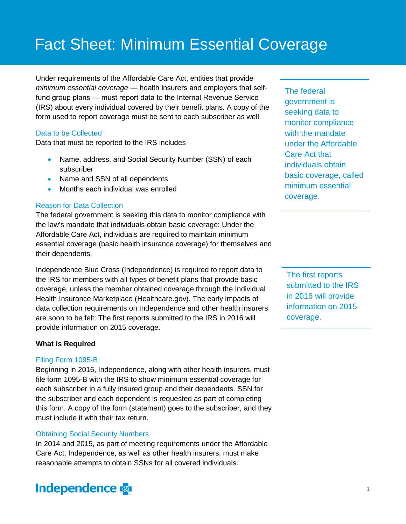# Fact Sheet: Minimum Essential Coverage

Under requirements of the Affordable Care Act, entities that provide *minimum essential coverage* ― health insurers and employers that selffund group plans ― must report data to the Internal Revenue Service (IRS) about every individual covered by their benefit plans. A copy of the form used to report coverage must be sent to each subscriber as well.

#### Data to be Collected

Data that must be reported to the IRS includes

- Name, address, and Social Security Number (SSN) of each subscriber
- Name and SSN of all dependents
- Months each individual was enrolled

#### Reason for Data Collection

The federal government is seeking this data to monitor compliance with the law's mandate that individuals obtain basic coverage: Under the Affordable Care Act, individuals are required to maintain minimum essential coverage (basic health insurance coverage) for themselves and their dependents.

Independence Blue Cross (Independence) is required to report data to the IRS for members with all types of benefit plans that provide basic coverage, unless the member obtained coverage through the Individual Health Insurance Marketplace (Healthcare.gov). The early impacts of data collection requirements on Independence and other health insurers are soon to be felt: The first reports submitted to the IRS in 2016 will provide information on 2015 coverage.

#### **What is Required**

#### Filing Form 1095-B

Beginning in 2016, Independence, along with other health insurers, must file form 1095-B with the IRS to show minimum essential coverage for each subscriber in a fully insured group and their dependents. SSN for the subscriber and each dependent is requested as part of completing this form. A copy of the form (statement) goes to the subscriber, and they must include it with their tax return.

#### Obtaining Social Security Numbers

In 2014 and 2015, as part of meeting requirements under the Affordable Care Act, Independence, as well as other health insurers, must make reasonable attempts to obtain SSNs for all covered individuals.



The federal government is seeking data to monitor compliance with the mandate under the Affordable Care Act that individuals obtain basic coverage, called minimum essential coverage.

The first reports submitted to the IRS in 2016 will provide information on 2015 coverage.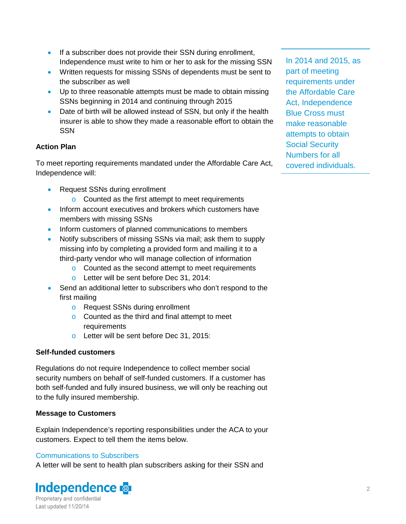- If a subscriber does not provide their SSN during enrollment, Independence must write to him or her to ask for the missing SSN
- Written requests for missing SSNs of dependents must be sent to the subscriber as well
- Up to three reasonable attempts must be made to obtain missing SSNs beginning in 2014 and continuing through 2015
- Date of birth will be allowed instead of SSN, but only if the health insurer is able to show they made a reasonable effort to obtain the **SSN**

# **Action Plan**

To meet reporting requirements mandated under the Affordable Care Act, Independence will:

- Request SSNs during enrollment
	- o Counted as the first attempt to meet requirements
- Inform account executives and brokers which customers have members with missing SSNs
- Inform customers of planned communications to members
- Notify subscribers of missing SSNs via mail; ask them to supply missing info by completing a provided form and mailing it to a third-party vendor who will manage collection of information
	- o Counted as the second attempt to meet requirements
	- o Letter will be sent before Dec 31, 2014:
- Send an additional letter to subscribers who don't respond to the first mailing
	- o Request SSNs during enrollment
	- o Counted as the third and final attempt to meet requirements
	- o Letter will be sent before Dec 31, 2015:

# **Self-funded customers**

Regulations do not require Independence to collect member social security numbers on behalf of self-funded customers. If a customer has both self-funded and fully insured business, we will only be reaching out to the fully insured membership.

# **Message to Customers**

Explain Independence's reporting responsibilities under the ACA to your customers. Expect to tell them the items below.

# Communications to Subscribers

A letter will be sent to health plan subscribers asking for their SSN and



In 2014 and 2015, as part of meeting requirements under the Affordable Care Act, Independence Blue Cross must make reasonable attempts to obtain Social Security Numbers for all covered individuals.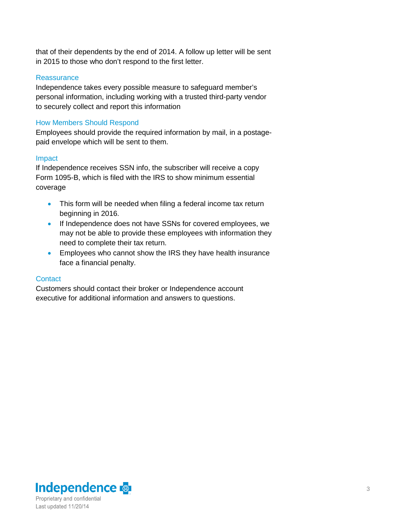that of their dependents by the end of 2014. A follow up letter will be sent in 2015 to those who don't respond to the first letter.

#### **Reassurance**

Independence takes every possible measure to safeguard member's personal information, including working with a trusted third-party vendor to securely collect and report this information

#### How Members Should Respond

Employees should provide the required information by mail, in a postagepaid envelope which will be sent to them.

#### Impact

If Independence receives SSN info, the subscriber will receive a copy Form 1095-B, which is filed with the IRS to show minimum essential coverage

- This form will be needed when filing a federal income tax return beginning in 2016.
- If Independence does not have SSNs for covered employees, we may not be able to provide these employees with information they need to complete their tax return.
- Employees who cannot show the IRS they have health insurance face a financial penalty.

#### **Contact**

Customers should contact their broker or Independence account executive for additional information and answers to questions.